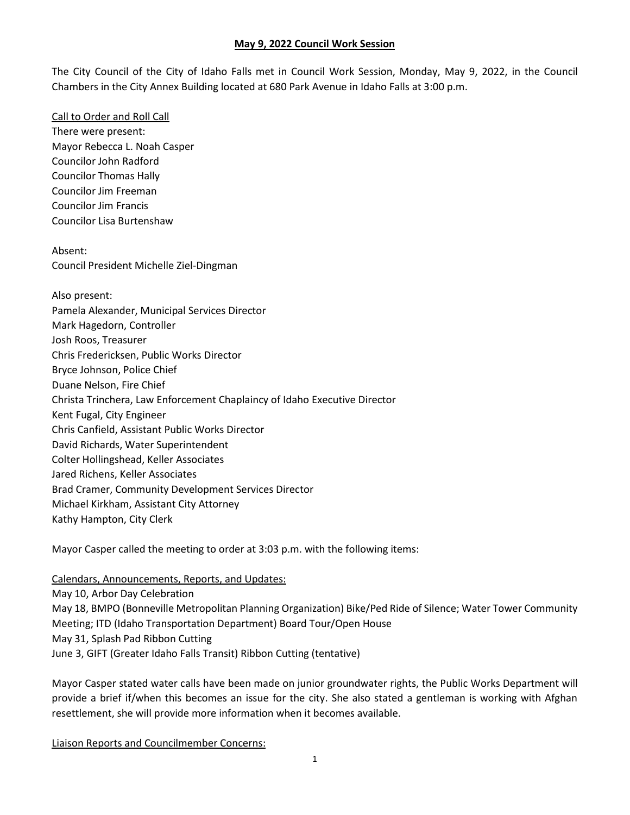The City Council of the City of Idaho Falls met in Council Work Session, Monday, May 9, 2022, in the Council Chambers in the City Annex Building located at 680 Park Avenue in Idaho Falls at 3:00 p.m.

Call to Order and Roll Call There were present: Mayor Rebecca L. Noah Casper Councilor John Radford Councilor Thomas Hally Councilor Jim Freeman Councilor Jim Francis Councilor Lisa Burtenshaw

Absent: Council President Michelle Ziel-Dingman

Also present: Pamela Alexander, Municipal Services Director Mark Hagedorn, Controller Josh Roos, Treasurer Chris Fredericksen, Public Works Director Bryce Johnson, Police Chief Duane Nelson, Fire Chief Christa Trinchera, Law Enforcement Chaplaincy of Idaho Executive Director Kent Fugal, City Engineer Chris Canfield, Assistant Public Works Director David Richards, Water Superintendent Colter Hollingshead, Keller Associates Jared Richens, Keller Associates Brad Cramer, Community Development Services Director Michael Kirkham, Assistant City Attorney Kathy Hampton, City Clerk

Mayor Casper called the meeting to order at 3:03 p.m. with the following items:

Calendars, Announcements, Reports, and Updates: May 10, Arbor Day Celebration May 18, BMPO (Bonneville Metropolitan Planning Organization) Bike/Ped Ride of Silence; Water Tower Community Meeting; ITD (Idaho Transportation Department) Board Tour/Open House May 31, Splash Pad Ribbon Cutting June 3, GIFT (Greater Idaho Falls Transit) Ribbon Cutting (tentative)

Mayor Casper stated water calls have been made on junior groundwater rights, the Public Works Department will provide a brief if/when this becomes an issue for the city. She also stated a gentleman is working with Afghan resettlement, she will provide more information when it becomes available.

Liaison Reports and Councilmember Concerns: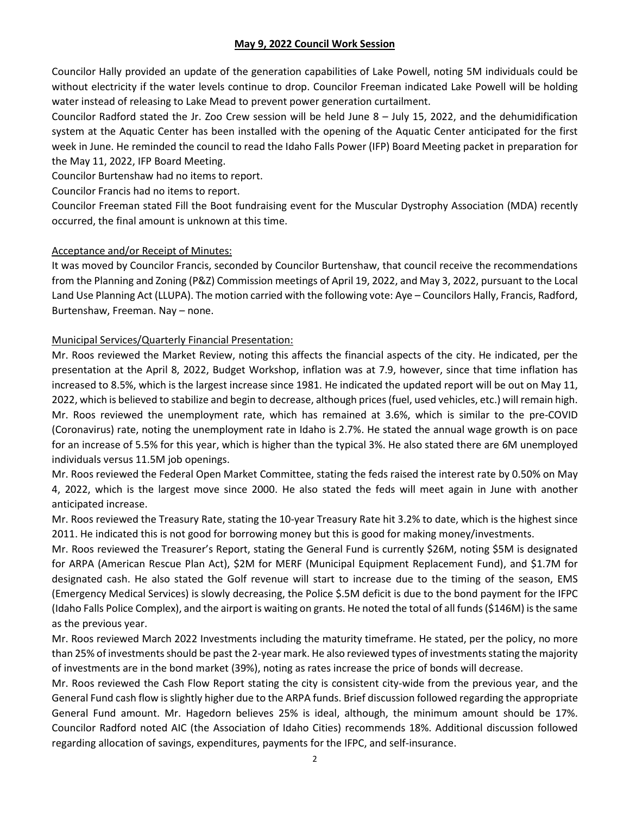Councilor Hally provided an update of the generation capabilities of Lake Powell, noting 5M individuals could be without electricity if the water levels continue to drop. Councilor Freeman indicated Lake Powell will be holding water instead of releasing to Lake Mead to prevent power generation curtailment.

Councilor Radford stated the Jr. Zoo Crew session will be held June 8 – July 15, 2022, and the dehumidification system at the Aquatic Center has been installed with the opening of the Aquatic Center anticipated for the first week in June. He reminded the council to read the Idaho Falls Power (IFP) Board Meeting packet in preparation for the May 11, 2022, IFP Board Meeting.

Councilor Burtenshaw had no items to report.

Councilor Francis had no items to report.

Councilor Freeman stated Fill the Boot fundraising event for the Muscular Dystrophy Association (MDA) recently occurred, the final amount is unknown at this time.

## Acceptance and/or Receipt of Minutes:

It was moved by Councilor Francis, seconded by Councilor Burtenshaw, that council receive the recommendations from the Planning and Zoning (P&Z) Commission meetings of April 19, 2022, and May 3, 2022, pursuant to the Local Land Use Planning Act (LLUPA). The motion carried with the following vote: Aye – Councilors Hally, Francis, Radford, Burtenshaw, Freeman. Nay – none.

## Municipal Services/Quarterly Financial Presentation:

Mr. Roos reviewed the Market Review, noting this affects the financial aspects of the city. He indicated, per the presentation at the April 8, 2022, Budget Workshop, inflation was at 7.9, however, since that time inflation has increased to 8.5%, which is the largest increase since 1981. He indicated the updated report will be out on May 11, 2022, which is believed to stabilize and begin to decrease, although prices(fuel, used vehicles, etc.) will remain high. Mr. Roos reviewed the unemployment rate, which has remained at 3.6%, which is similar to the pre-COVID (Coronavirus) rate, noting the unemployment rate in Idaho is 2.7%. He stated the annual wage growth is on pace for an increase of 5.5% for this year, which is higher than the typical 3%. He also stated there are 6M unemployed individuals versus 11.5M job openings.

Mr. Roos reviewed the Federal Open Market Committee, stating the feds raised the interest rate by 0.50% on May 4, 2022, which is the largest move since 2000. He also stated the feds will meet again in June with another anticipated increase.

Mr. Roos reviewed the Treasury Rate, stating the 10-year Treasury Rate hit 3.2% to date, which is the highest since 2011. He indicated this is not good for borrowing money but this is good for making money/investments.

Mr. Roos reviewed the Treasurer's Report, stating the General Fund is currently \$26M, noting \$5M is designated for ARPA (American Rescue Plan Act), \$2M for MERF (Municipal Equipment Replacement Fund), and \$1.7M for designated cash. He also stated the Golf revenue will start to increase due to the timing of the season, EMS (Emergency Medical Services) is slowly decreasing, the Police \$.5M deficit is due to the bond payment for the IFPC (Idaho Falls Police Complex), and the airport is waiting on grants. He noted the total of all funds (\$146M) is the same as the previous year.

Mr. Roos reviewed March 2022 Investments including the maturity timeframe. He stated, per the policy, no more than 25% of investments should be past the 2-year mark. He also reviewed types of investments stating the majority of investments are in the bond market (39%), noting as rates increase the price of bonds will decrease.

Mr. Roos reviewed the Cash Flow Report stating the city is consistent city-wide from the previous year, and the General Fund cash flow is slightly higher due to the ARPA funds. Brief discussion followed regarding the appropriate General Fund amount. Mr. Hagedorn believes 25% is ideal, although, the minimum amount should be 17%. Councilor Radford noted AIC (the Association of Idaho Cities) recommends 18%. Additional discussion followed regarding allocation of savings, expenditures, payments for the IFPC, and self-insurance.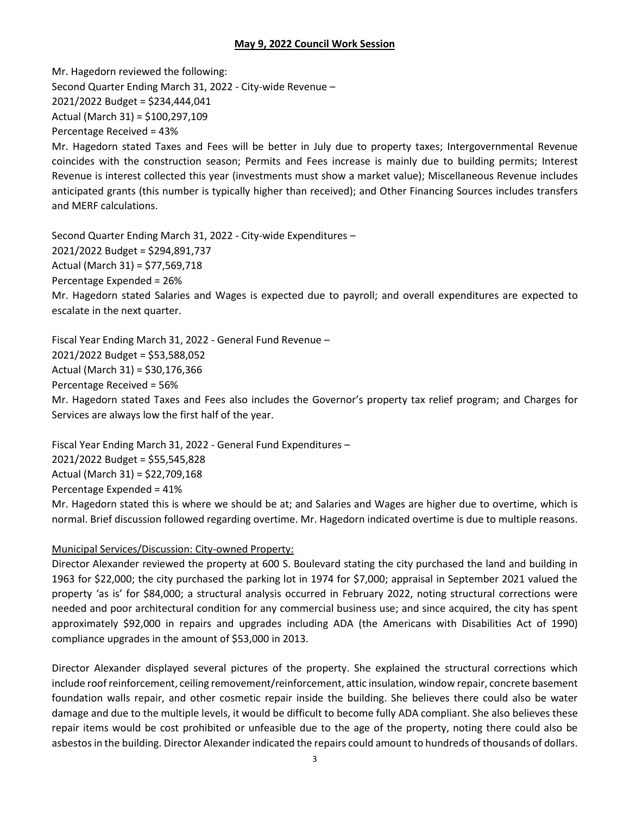Mr. Hagedorn reviewed the following: Second Quarter Ending March 31, 2022 - City-wide Revenue – 2021/2022 Budget = \$234,444,041 Actual (March 31) = \$100,297,109 Percentage Received = 43%

Mr. Hagedorn stated Taxes and Fees will be better in July due to property taxes; Intergovernmental Revenue coincides with the construction season; Permits and Fees increase is mainly due to building permits; Interest Revenue is interest collected this year (investments must show a market value); Miscellaneous Revenue includes anticipated grants (this number is typically higher than received); and Other Financing Sources includes transfers and MERF calculations.

Second Quarter Ending March 31, 2022 - City-wide Expenditures – 2021/2022 Budget = \$294,891,737 Actual (March 31) = \$77,569,718 Percentage Expended = 26% Mr. Hagedorn stated Salaries and Wages is expected due to payroll; and overall expenditures are expected to escalate in the next quarter.

Fiscal Year Ending March 31, 2022 - General Fund Revenue – 2021/2022 Budget = \$53,588,052 Actual (March 31) = \$30,176,366 Percentage Received = 56% Mr. Hagedorn stated Taxes and Fees also includes the Governor's property tax relief program; and Charges for Services are always low the first half of the year.

Fiscal Year Ending March 31, 2022 - General Fund Expenditures – 2021/2022 Budget = \$55,545,828 Actual (March 31) = \$22,709,168 Percentage Expended = 41% Mr. Hagedorn stated this is where we should be at; and Salaries and Wages are higher due to overtime, which is normal. Brief discussion followed regarding overtime. Mr. Hagedorn indicated overtime is due to multiple reasons.

## Municipal Services/Discussion: City-owned Property:

Director Alexander reviewed the property at 600 S. Boulevard stating the city purchased the land and building in 1963 for \$22,000; the city purchased the parking lot in 1974 for \$7,000; appraisal in September 2021 valued the property 'as is' for \$84,000; a structural analysis occurred in February 2022, noting structural corrections were needed and poor architectural condition for any commercial business use; and since acquired, the city has spent approximately \$92,000 in repairs and upgrades including ADA (the Americans with Disabilities Act of 1990) compliance upgrades in the amount of \$53,000 in 2013.

Director Alexander displayed several pictures of the property. She explained the structural corrections which include roof reinforcement, ceiling removement/reinforcement, attic insulation, window repair, concrete basement foundation walls repair, and other cosmetic repair inside the building. She believes there could also be water damage and due to the multiple levels, it would be difficult to become fully ADA compliant. She also believes these repair items would be cost prohibited or unfeasible due to the age of the property, noting there could also be asbestos in the building. Director Alexander indicated the repairs could amount to hundreds of thousands of dollars.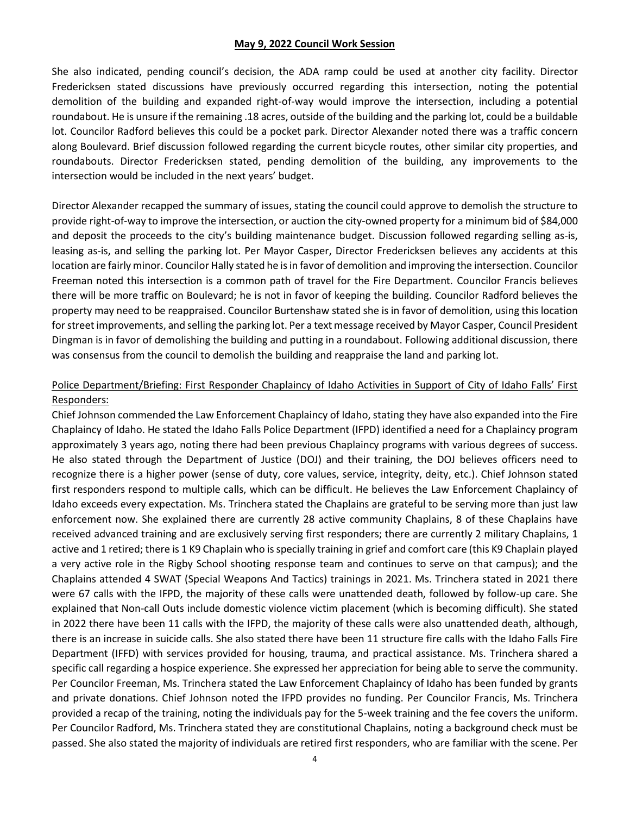She also indicated, pending council's decision, the ADA ramp could be used at another city facility. Director Fredericksen stated discussions have previously occurred regarding this intersection, noting the potential demolition of the building and expanded right-of-way would improve the intersection, including a potential roundabout. He is unsure if the remaining .18 acres, outside of the building and the parking lot, could be a buildable lot. Councilor Radford believes this could be a pocket park. Director Alexander noted there was a traffic concern along Boulevard. Brief discussion followed regarding the current bicycle routes, other similar city properties, and roundabouts. Director Fredericksen stated, pending demolition of the building, any improvements to the intersection would be included in the next years' budget.

Director Alexander recapped the summary of issues, stating the council could approve to demolish the structure to provide right-of-way to improve the intersection, or auction the city-owned property for a minimum bid of \$84,000 and deposit the proceeds to the city's building maintenance budget. Discussion followed regarding selling as-is, leasing as-is, and selling the parking lot. Per Mayor Casper, Director Fredericksen believes any accidents at this location are fairly minor. Councilor Hally stated he is in favor of demolition and improving the intersection. Councilor Freeman noted this intersection is a common path of travel for the Fire Department. Councilor Francis believes there will be more traffic on Boulevard; he is not in favor of keeping the building. Councilor Radford believes the property may need to be reappraised. Councilor Burtenshaw stated she is in favor of demolition, using this location for street improvements, and selling the parking lot. Per a text message received by Mayor Casper, Council President Dingman is in favor of demolishing the building and putting in a roundabout. Following additional discussion, there was consensus from the council to demolish the building and reappraise the land and parking lot.

# Police Department/Briefing: First Responder Chaplaincy of Idaho Activities in Support of City of Idaho Falls' First Responders:

Chief Johnson commended the Law Enforcement Chaplaincy of Idaho, stating they have also expanded into the Fire Chaplaincy of Idaho. He stated the Idaho Falls Police Department (IFPD) identified a need for a Chaplaincy program approximately 3 years ago, noting there had been previous Chaplaincy programs with various degrees of success. He also stated through the Department of Justice (DOJ) and their training, the DOJ believes officers need to recognize there is a higher power (sense of duty, core values, service, integrity, deity, etc.). Chief Johnson stated first responders respond to multiple calls, which can be difficult. He believes the Law Enforcement Chaplaincy of Idaho exceeds every expectation. Ms. Trinchera stated the Chaplains are grateful to be serving more than just law enforcement now. She explained there are currently 28 active community Chaplains, 8 of these Chaplains have received advanced training and are exclusively serving first responders; there are currently 2 military Chaplains, 1 active and 1 retired; there is 1 K9 Chaplain who is specially training in grief and comfort care (this K9 Chaplain played a very active role in the Rigby School shooting response team and continues to serve on that campus); and the Chaplains attended 4 SWAT (Special Weapons And Tactics) trainings in 2021. Ms. Trinchera stated in 2021 there were 67 calls with the IFPD, the majority of these calls were unattended death, followed by follow-up care. She explained that Non-call Outs include domestic violence victim placement (which is becoming difficult). She stated in 2022 there have been 11 calls with the IFPD, the majority of these calls were also unattended death, although, there is an increase in suicide calls. She also stated there have been 11 structure fire calls with the Idaho Falls Fire Department (IFFD) with services provided for housing, trauma, and practical assistance. Ms. Trinchera shared a specific call regarding a hospice experience. She expressed her appreciation for being able to serve the community. Per Councilor Freeman, Ms. Trinchera stated the Law Enforcement Chaplaincy of Idaho has been funded by grants and private donations. Chief Johnson noted the IFPD provides no funding. Per Councilor Francis, Ms. Trinchera provided a recap of the training, noting the individuals pay for the 5-week training and the fee covers the uniform. Per Councilor Radford, Ms. Trinchera stated they are constitutional Chaplains, noting a background check must be passed. She also stated the majority of individuals are retired first responders, who are familiar with the scene. Per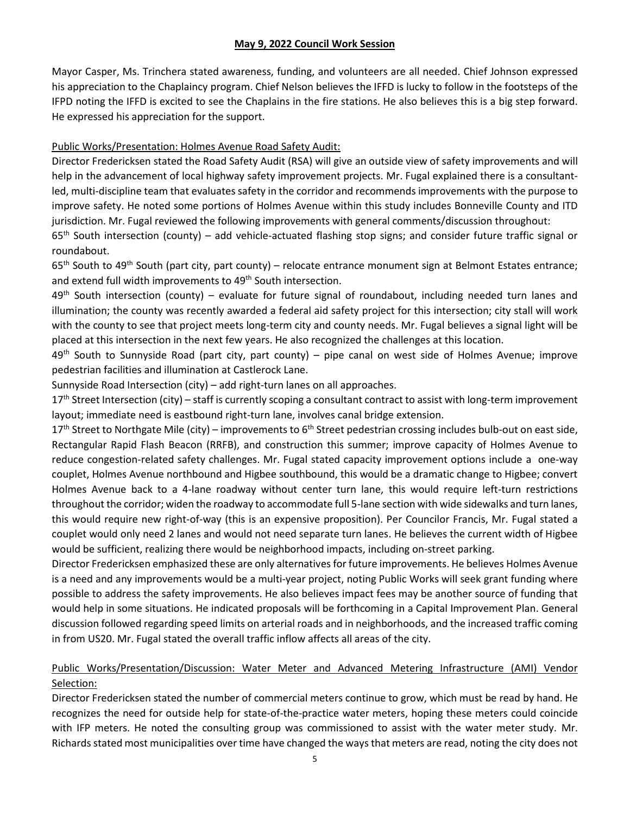Mayor Casper, Ms. Trinchera stated awareness, funding, and volunteers are all needed. Chief Johnson expressed his appreciation to the Chaplaincy program. Chief Nelson believes the IFFD is lucky to follow in the footsteps of the IFPD noting the IFFD is excited to see the Chaplains in the fire stations. He also believes this is a big step forward. He expressed his appreciation for the support.

## Public Works/Presentation: Holmes Avenue Road Safety Audit:

Director Fredericksen stated the Road Safety Audit (RSA) will give an outside view of safety improvements and will help in the advancement of local highway safety improvement projects. Mr. Fugal explained there is a consultantled, multi-discipline team that evaluates safety in the corridor and recommends improvements with the purpose to improve safety. He noted some portions of Holmes Avenue within this study includes Bonneville County and ITD jurisdiction. Mr. Fugal reviewed the following improvements with general comments/discussion throughout:

 $65<sup>th</sup>$  South intersection (county) – add vehicle-actuated flashing stop signs; and consider future traffic signal or roundabout.

65<sup>th</sup> South to 49<sup>th</sup> South (part city, part county) – relocate entrance monument sign at Belmont Estates entrance; and extend full width improvements to 49<sup>th</sup> South intersection.

49<sup>th</sup> South intersection (county) – evaluate for future signal of roundabout, including needed turn lanes and illumination; the county was recently awarded a federal aid safety project for this intersection; city stall will work with the county to see that project meets long-term city and county needs. Mr. Fugal believes a signal light will be placed at this intersection in the next few years. He also recognized the challenges at this location.

 $49<sup>th</sup>$  South to Sunnyside Road (part city, part county) – pipe canal on west side of Holmes Avenue; improve pedestrian facilities and illumination at Castlerock Lane.

Sunnyside Road Intersection (city) – add right-turn lanes on all approaches.

 $17<sup>th</sup>$  Street Intersection (city) – staff is currently scoping a consultant contract to assist with long-term improvement layout; immediate need is eastbound right-turn lane, involves canal bridge extension.

 $17<sup>th</sup>$  Street to Northgate Mile (city) – improvements to  $6<sup>th</sup>$  Street pedestrian crossing includes bulb-out on east side, Rectangular Rapid Flash Beacon (RRFB), and construction this summer; improve capacity of Holmes Avenue to reduce congestion-related safety challenges. Mr. Fugal stated capacity improvement options include a one-way couplet, Holmes Avenue northbound and Higbee southbound, this would be a dramatic change to Higbee; convert Holmes Avenue back to a 4-lane roadway without center turn lane, this would require left-turn restrictions throughout the corridor; widen the roadway to accommodate full 5-lane section with wide sidewalks and turn lanes, this would require new right-of-way (this is an expensive proposition). Per Councilor Francis, Mr. Fugal stated a couplet would only need 2 lanes and would not need separate turn lanes. He believes the current width of Higbee would be sufficient, realizing there would be neighborhood impacts, including on-street parking.

Director Fredericksen emphasized these are only alternatives for future improvements. He believes Holmes Avenue is a need and any improvements would be a multi-year project, noting Public Works will seek grant funding where possible to address the safety improvements. He also believes impact fees may be another source of funding that would help in some situations. He indicated proposals will be forthcoming in a Capital Improvement Plan. General discussion followed regarding speed limits on arterial roads and in neighborhoods, and the increased traffic coming in from US20. Mr. Fugal stated the overall traffic inflow affects all areas of the city.

# Public Works/Presentation/Discussion: Water Meter and Advanced Metering Infrastructure (AMI) Vendor Selection:

Director Fredericksen stated the number of commercial meters continue to grow, which must be read by hand. He recognizes the need for outside help for state-of-the-practice water meters, hoping these meters could coincide with IFP meters. He noted the consulting group was commissioned to assist with the water meter study. Mr. Richards stated most municipalities over time have changed the ways that meters are read, noting the city does not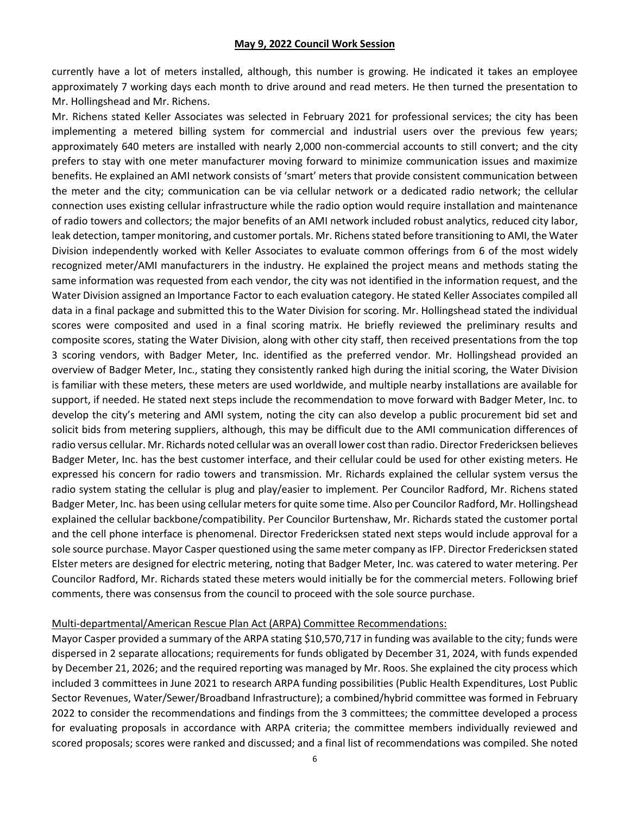currently have a lot of meters installed, although, this number is growing. He indicated it takes an employee approximately 7 working days each month to drive around and read meters. He then turned the presentation to Mr. Hollingshead and Mr. Richens.

Mr. Richens stated Keller Associates was selected in February 2021 for professional services; the city has been implementing a metered billing system for commercial and industrial users over the previous few years; approximately 640 meters are installed with nearly 2,000 non-commercial accounts to still convert; and the city prefers to stay with one meter manufacturer moving forward to minimize communication issues and maximize benefits. He explained an AMI network consists of 'smart' meters that provide consistent communication between the meter and the city; communication can be via cellular network or a dedicated radio network; the cellular connection uses existing cellular infrastructure while the radio option would require installation and maintenance of radio towers and collectors; the major benefits of an AMI network included robust analytics, reduced city labor, leak detection, tamper monitoring, and customer portals. Mr. Richens stated before transitioning to AMI, the Water Division independently worked with Keller Associates to evaluate common offerings from 6 of the most widely recognized meter/AMI manufacturers in the industry. He explained the project means and methods stating the same information was requested from each vendor, the city was not identified in the information request, and the Water Division assigned an Importance Factor to each evaluation category. He stated Keller Associates compiled all data in a final package and submitted this to the Water Division for scoring. Mr. Hollingshead stated the individual scores were composited and used in a final scoring matrix. He briefly reviewed the preliminary results and composite scores, stating the Water Division, along with other city staff, then received presentations from the top 3 scoring vendors, with Badger Meter, Inc. identified as the preferred vendor. Mr. Hollingshead provided an overview of Badger Meter, Inc., stating they consistently ranked high during the initial scoring, the Water Division is familiar with these meters, these meters are used worldwide, and multiple nearby installations are available for support, if needed. He stated next steps include the recommendation to move forward with Badger Meter, Inc. to develop the city's metering and AMI system, noting the city can also develop a public procurement bid set and solicit bids from metering suppliers, although, this may be difficult due to the AMI communication differences of radio versus cellular. Mr. Richards noted cellular was an overall lower cost than radio. Director Fredericksen believes Badger Meter, Inc. has the best customer interface, and their cellular could be used for other existing meters. He expressed his concern for radio towers and transmission. Mr. Richards explained the cellular system versus the radio system stating the cellular is plug and play/easier to implement. Per Councilor Radford, Mr. Richens stated Badger Meter, Inc. has been using cellular meters for quite some time. Also per Councilor Radford, Mr. Hollingshead explained the cellular backbone/compatibility. Per Councilor Burtenshaw, Mr. Richards stated the customer portal and the cell phone interface is phenomenal. Director Fredericksen stated next steps would include approval for a sole source purchase. Mayor Casper questioned using the same meter company as IFP. Director Fredericksen stated Elster meters are designed for electric metering, noting that Badger Meter, Inc. was catered to water metering. Per Councilor Radford, Mr. Richards stated these meters would initially be for the commercial meters. Following brief comments, there was consensus from the council to proceed with the sole source purchase.

#### Multi-departmental/American Rescue Plan Act (ARPA) Committee Recommendations:

Mayor Casper provided a summary of the ARPA stating \$10,570,717 in funding was available to the city; funds were dispersed in 2 separate allocations; requirements for funds obligated by December 31, 2024, with funds expended by December 21, 2026; and the required reporting was managed by Mr. Roos. She explained the city process which included 3 committees in June 2021 to research ARPA funding possibilities (Public Health Expenditures, Lost Public Sector Revenues, Water/Sewer/Broadband Infrastructure); a combined/hybrid committee was formed in February 2022 to consider the recommendations and findings from the 3 committees; the committee developed a process for evaluating proposals in accordance with ARPA criteria; the committee members individually reviewed and scored proposals; scores were ranked and discussed; and a final list of recommendations was compiled. She noted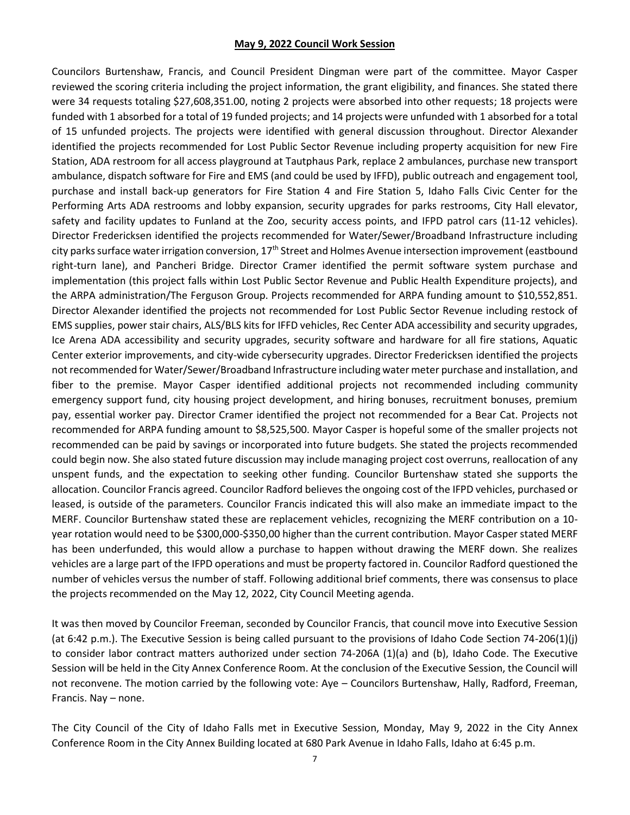Councilors Burtenshaw, Francis, and Council President Dingman were part of the committee. Mayor Casper reviewed the scoring criteria including the project information, the grant eligibility, and finances. She stated there were 34 requests totaling \$27,608,351.00, noting 2 projects were absorbed into other requests; 18 projects were funded with 1 absorbed for a total of 19 funded projects; and 14 projects were unfunded with 1 absorbed for a total of 15 unfunded projects. The projects were identified with general discussion throughout. Director Alexander identified the projects recommended for Lost Public Sector Revenue including property acquisition for new Fire Station, ADA restroom for all access playground at Tautphaus Park, replace 2 ambulances, purchase new transport ambulance, dispatch software for Fire and EMS (and could be used by IFFD), public outreach and engagement tool, purchase and install back-up generators for Fire Station 4 and Fire Station 5, Idaho Falls Civic Center for the Performing Arts ADA restrooms and lobby expansion, security upgrades for parks restrooms, City Hall elevator, safety and facility updates to Funland at the Zoo, security access points, and IFPD patrol cars (11-12 vehicles). Director Fredericksen identified the projects recommended for Water/Sewer/Broadband Infrastructure including city parks surface water irrigation conversion, 17<sup>th</sup> Street and Holmes Avenue intersection improvement (eastbound right-turn lane), and Pancheri Bridge. Director Cramer identified the permit software system purchase and implementation (this project falls within Lost Public Sector Revenue and Public Health Expenditure projects), and the ARPA administration/The Ferguson Group. Projects recommended for ARPA funding amount to \$10,552,851. Director Alexander identified the projects not recommended for Lost Public Sector Revenue including restock of EMS supplies, power stair chairs, ALS/BLS kits for IFFD vehicles, Rec Center ADA accessibility and security upgrades, Ice Arena ADA accessibility and security upgrades, security software and hardware for all fire stations, Aquatic Center exterior improvements, and city-wide cybersecurity upgrades. Director Fredericksen identified the projects not recommended for Water/Sewer/Broadband Infrastructure including water meter purchase and installation, and fiber to the premise. Mayor Casper identified additional projects not recommended including community emergency support fund, city housing project development, and hiring bonuses, recruitment bonuses, premium pay, essential worker pay. Director Cramer identified the project not recommended for a Bear Cat. Projects not recommended for ARPA funding amount to \$8,525,500. Mayor Casper is hopeful some of the smaller projects not recommended can be paid by savings or incorporated into future budgets. She stated the projects recommended could begin now. She also stated future discussion may include managing project cost overruns, reallocation of any unspent funds, and the expectation to seeking other funding. Councilor Burtenshaw stated she supports the allocation. Councilor Francis agreed. Councilor Radford believes the ongoing cost of the IFPD vehicles, purchased or leased, is outside of the parameters. Councilor Francis indicated this will also make an immediate impact to the MERF. Councilor Burtenshaw stated these are replacement vehicles, recognizing the MERF contribution on a 10 year rotation would need to be \$300,000-\$350,00 higher than the current contribution. Mayor Casper stated MERF has been underfunded, this would allow a purchase to happen without drawing the MERF down. She realizes vehicles are a large part of the IFPD operations and must be property factored in. Councilor Radford questioned the number of vehicles versus the number of staff. Following additional brief comments, there was consensus to place the projects recommended on the May 12, 2022, City Council Meeting agenda.

It was then moved by Councilor Freeman, seconded by Councilor Francis, that council move into Executive Session (at 6:42 p.m.). The Executive Session is being called pursuant to the provisions of Idaho Code Section 74-206(1)(j) to consider labor contract matters authorized under section 74-206A (1)(a) and (b), Idaho Code. The Executive Session will be held in the City Annex Conference Room. At the conclusion of the Executive Session, the Council will not reconvene. The motion carried by the following vote: Aye – Councilors Burtenshaw, Hally, Radford, Freeman, Francis. Nay – none.

The City Council of the City of Idaho Falls met in Executive Session, Monday, May 9, 2022 in the City Annex Conference Room in the City Annex Building located at 680 Park Avenue in Idaho Falls, Idaho at 6:45 p.m.